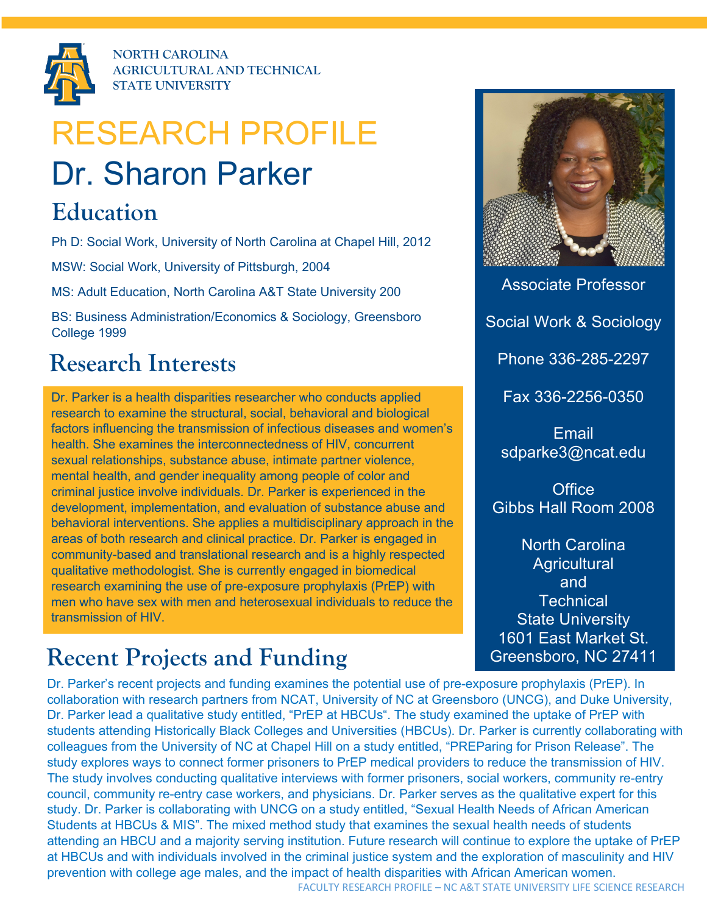

**NORTH CAROLINA AGRICULTURAL AND TECHNICAL STATE UNIVERSITY**

# RESEARCH PROFILE

## Dr. Sharon Parker

#### **Education**

Ph D: Social Work, University of North Carolina at Chapel Hill, 2012

MSW: Social Work, University of Pittsburgh, 2004

MS: Adult Education, North Carolina A&T State University 200

BS: Business Administration/Economics & Sociology, Greensboro College 1999

#### **Research Interests**

Dr. Parker is a health disparities researcher who conducts applied research to examine the structural, social, behavioral and biological factors influencing the transmission of infectious diseases and women's health. She examines the interconnectedness of HIV, concurrent sexual relationships, substance abuse, intimate partner violence, mental health, and gender inequality among people of color and criminal justice involve individuals. Dr. Parker is experienced in the development, implementation, and evaluation of substance abuse and behavioral interventions. She applies a multidisciplinary approach in the areas of both research and clinical practice. Dr. Parker is engaged in community-based and translational research and is a highly respected qualitative methodologist. She is currently engaged in biomedical research examining the use of pre-exposure prophylaxis (PrEP) with men who have sex with men and heterosexual individuals to reduce the transmission of HIV.

### **Recent Projects and Funding**

Associate Professor

Social Work & Sociology

Phone 336-285-2297

Fax 336-2256-0350

Email sdparke3@ncat.edu

**Office** Gibbs Hall Room 2008

North Carolina **Agricultural** and **Technical** State University 1601 East Market St. Greensboro, NC 27411

north Carolina and Carolina and Carolina and Carolina and Carolina and Carolina and Carolina and Carolina and <br>North Carolina and Carolina and Carolina and Carolina and Carolina and Carolina and Carolina and Carolina and **www.ncat.edu** collaboration with research partners from NCAT, University of NC at Greensboro (UNCG), and Duke University, Dr. Parker's recent projects and funding examines the potential use of pre-exposure prophylaxis (PrEP). In Dr. Parker lead a qualitative study entitled, "PrEP at HBCUs". The study examined the uptake of PrEP with students attending Historically Black Colleges and Universities (HBCUs). Dr. Parker is currently collaborating with colleagues from the University of NC at Chapel Hill on a study entitled, "PREParing for Prison Release". The study explores ways to connect former prisoners to PrEP medical providers to reduce the transmission of HIV. The study involves conducting qualitative interviews with former prisoners, social workers, community re-entry council, community re-entry case workers, and physicians. Dr. Parker serves as the qualitative expert for this study. Dr. Parker is collaborating with UNCG on a study entitled, "Sexual Health Needs of African American Students at HBCUs & MIS". The mixed method study that examines the sexual health needs of students attending an HBCU and a majority serving institution. Future research will continue to explore the uptake of PrEP at HBCUs and with individuals involved in the criminal justice system and the exploration of masculinity and HIV prevention with college age males, and the impact of health disparities with African American women.